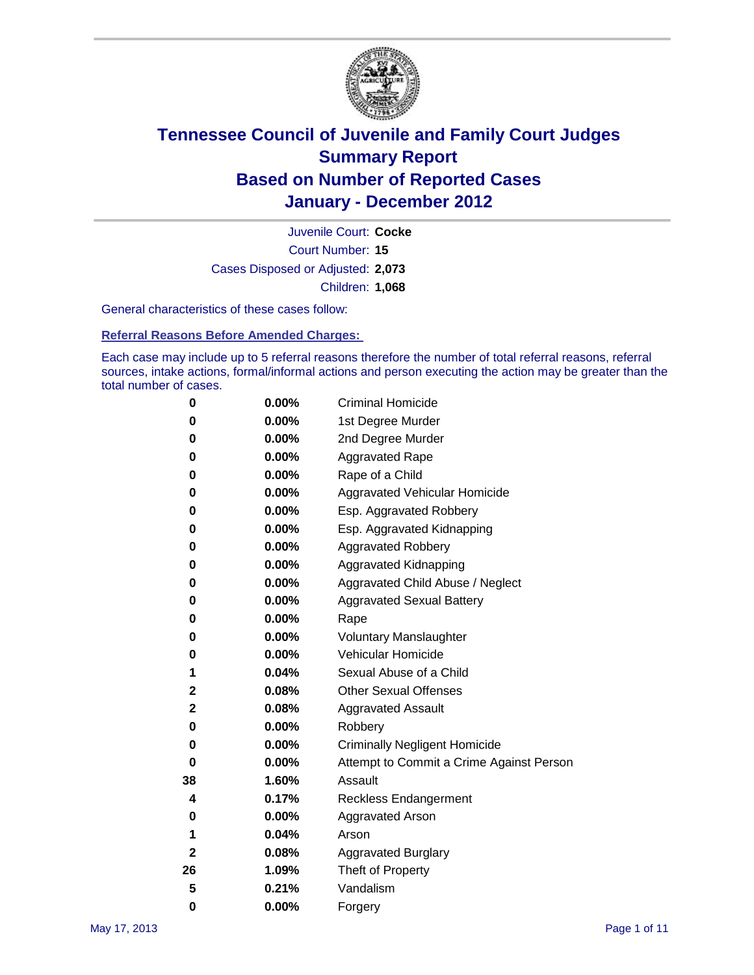

Court Number: **15** Juvenile Court: **Cocke** Cases Disposed or Adjusted: **2,073** Children: **1,068**

General characteristics of these cases follow:

**Referral Reasons Before Amended Charges:** 

Each case may include up to 5 referral reasons therefore the number of total referral reasons, referral sources, intake actions, formal/informal actions and person executing the action may be greater than the total number of cases.

| 0  | 0.00%    | <b>Criminal Homicide</b>                 |
|----|----------|------------------------------------------|
| 0  | 0.00%    | 1st Degree Murder                        |
| 0  | 0.00%    | 2nd Degree Murder                        |
| 0  | 0.00%    | <b>Aggravated Rape</b>                   |
| 0  | 0.00%    | Rape of a Child                          |
| 0  | 0.00%    | Aggravated Vehicular Homicide            |
| 0  | 0.00%    | Esp. Aggravated Robbery                  |
| 0  | 0.00%    | Esp. Aggravated Kidnapping               |
| 0  | 0.00%    | <b>Aggravated Robbery</b>                |
| 0  | 0.00%    | Aggravated Kidnapping                    |
| 0  | 0.00%    | Aggravated Child Abuse / Neglect         |
| 0  | $0.00\%$ | <b>Aggravated Sexual Battery</b>         |
| 0  | 0.00%    | Rape                                     |
| 0  | $0.00\%$ | <b>Voluntary Manslaughter</b>            |
| 0  | 0.00%    | Vehicular Homicide                       |
| 1  | 0.04%    | Sexual Abuse of a Child                  |
| 2  | 0.08%    | <b>Other Sexual Offenses</b>             |
| 2  | 0.08%    | <b>Aggravated Assault</b>                |
| 0  | $0.00\%$ | Robbery                                  |
| 0  | 0.00%    | <b>Criminally Negligent Homicide</b>     |
| 0  | 0.00%    | Attempt to Commit a Crime Against Person |
| 38 | 1.60%    | Assault                                  |
| 4  | 0.17%    | <b>Reckless Endangerment</b>             |
| 0  | 0.00%    | <b>Aggravated Arson</b>                  |
| 1  | 0.04%    | Arson                                    |
| 2  | 0.08%    | <b>Aggravated Burglary</b>               |
| 26 | 1.09%    | Theft of Property                        |
| 5  | 0.21%    | Vandalism                                |
| 0  | 0.00%    | Forgery                                  |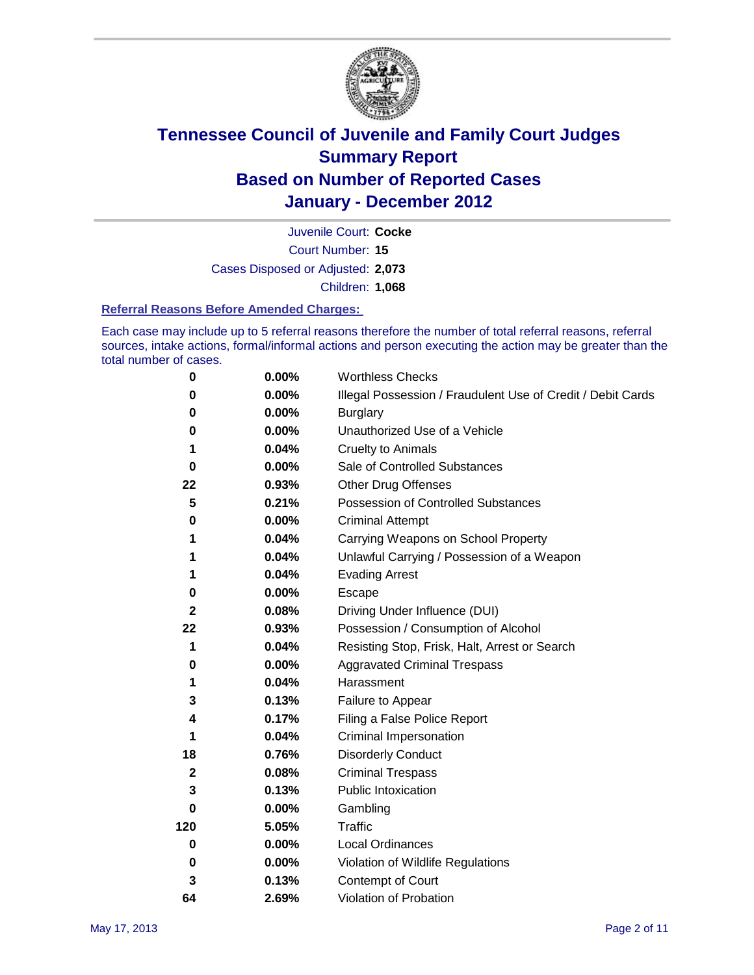

Court Number: **15** Juvenile Court: **Cocke** Cases Disposed or Adjusted: **2,073** Children: **1,068**

#### **Referral Reasons Before Amended Charges:**

Each case may include up to 5 referral reasons therefore the number of total referral reasons, referral sources, intake actions, formal/informal actions and person executing the action may be greater than the total number of cases.

| $\pmb{0}$    | 0.00%    | <b>Worthless Checks</b>                                     |
|--------------|----------|-------------------------------------------------------------|
| 0            | 0.00%    | Illegal Possession / Fraudulent Use of Credit / Debit Cards |
| 0            | 0.00%    | <b>Burglary</b>                                             |
| 0            | $0.00\%$ | Unauthorized Use of a Vehicle                               |
| 1            | 0.04%    | <b>Cruelty to Animals</b>                                   |
| $\bf{0}$     | 0.00%    | Sale of Controlled Substances                               |
| 22           | 0.93%    | <b>Other Drug Offenses</b>                                  |
| 5            | 0.21%    | Possession of Controlled Substances                         |
| 0            | $0.00\%$ | <b>Criminal Attempt</b>                                     |
| 1            | 0.04%    | Carrying Weapons on School Property                         |
| 1            | 0.04%    | Unlawful Carrying / Possession of a Weapon                  |
| 1            | 0.04%    | <b>Evading Arrest</b>                                       |
| 0            | 0.00%    | Escape                                                      |
| $\mathbf{2}$ | 0.08%    | Driving Under Influence (DUI)                               |
| 22           | 0.93%    | Possession / Consumption of Alcohol                         |
| 1            | 0.04%    | Resisting Stop, Frisk, Halt, Arrest or Search               |
| 0            | $0.00\%$ | <b>Aggravated Criminal Trespass</b>                         |
| 1            | 0.04%    | Harassment                                                  |
| 3            | 0.13%    | Failure to Appear                                           |
| 4            | 0.17%    | Filing a False Police Report                                |
| 1            | 0.04%    | Criminal Impersonation                                      |
| 18           | 0.76%    | <b>Disorderly Conduct</b>                                   |
| $\mathbf 2$  | 0.08%    | <b>Criminal Trespass</b>                                    |
| 3            | 0.13%    | Public Intoxication                                         |
| 0            | $0.00\%$ | Gambling                                                    |
| 120          | 5.05%    | <b>Traffic</b>                                              |
| 0            | $0.00\%$ | <b>Local Ordinances</b>                                     |
| 0            | 0.00%    | Violation of Wildlife Regulations                           |
| 3            | 0.13%    | Contempt of Court                                           |
| 64           | 2.69%    | Violation of Probation                                      |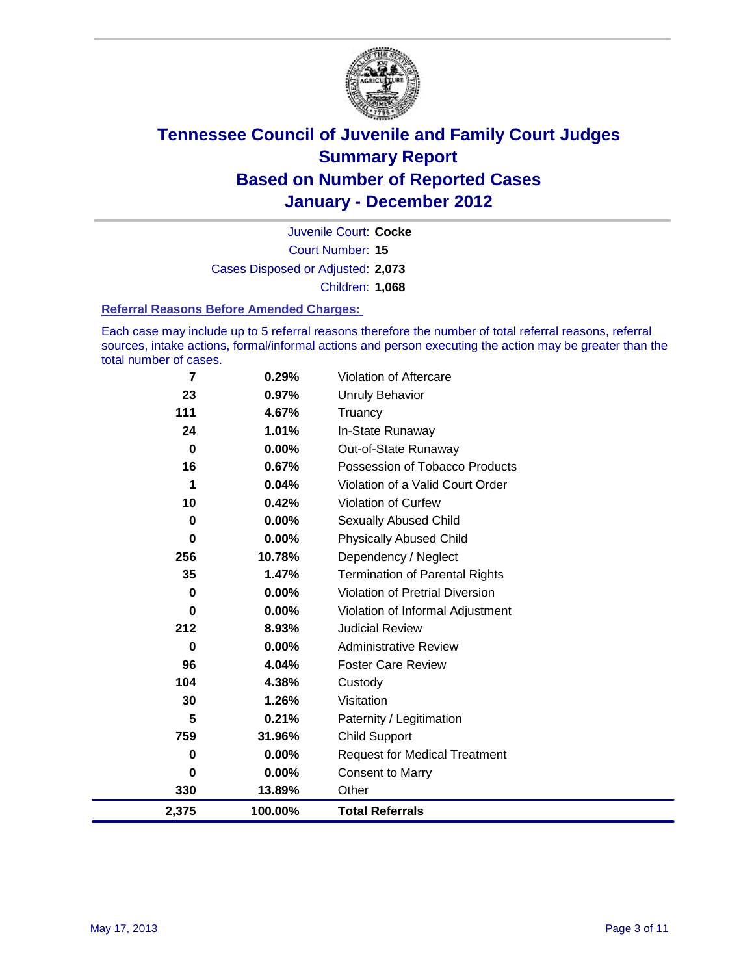

Court Number: **15** Juvenile Court: **Cocke** Cases Disposed or Adjusted: **2,073** Children: **1,068**

#### **Referral Reasons Before Amended Charges:**

Each case may include up to 5 referral reasons therefore the number of total referral reasons, referral sources, intake actions, formal/informal actions and person executing the action may be greater than the total number of cases.

| $\overline{7}$ | 0.29%    | Violation of Aftercare                 |
|----------------|----------|----------------------------------------|
| 23             | 0.97%    | <b>Unruly Behavior</b>                 |
| 111            | 4.67%    | Truancy                                |
| 24             | 1.01%    | In-State Runaway                       |
| $\mathbf 0$    | 0.00%    | Out-of-State Runaway                   |
| 16             | 0.67%    | Possession of Tobacco Products         |
| 1              | 0.04%    | Violation of a Valid Court Order       |
| 10             | 0.42%    | <b>Violation of Curfew</b>             |
| 0              | 0.00%    | <b>Sexually Abused Child</b>           |
| 0              | $0.00\%$ | <b>Physically Abused Child</b>         |
| 256            | 10.78%   | Dependency / Neglect                   |
| 35             | 1.47%    | <b>Termination of Parental Rights</b>  |
| 0              | $0.00\%$ | <b>Violation of Pretrial Diversion</b> |
| 0              | 0.00%    | Violation of Informal Adjustment       |
| 212            | 8.93%    | <b>Judicial Review</b>                 |
| $\bf{0}$       | $0.00\%$ | <b>Administrative Review</b>           |
| 96             | 4.04%    | <b>Foster Care Review</b>              |
| 104            | 4.38%    | Custody                                |
| 30             | 1.26%    | Visitation                             |
| 5              | 0.21%    | Paternity / Legitimation               |
| 759            | 31.96%   | <b>Child Support</b>                   |
| 0              | 0.00%    | <b>Request for Medical Treatment</b>   |
| 0              | 0.00%    | <b>Consent to Marry</b>                |
| 330            | 13.89%   | Other                                  |
| 2,375          | 100.00%  | <b>Total Referrals</b>                 |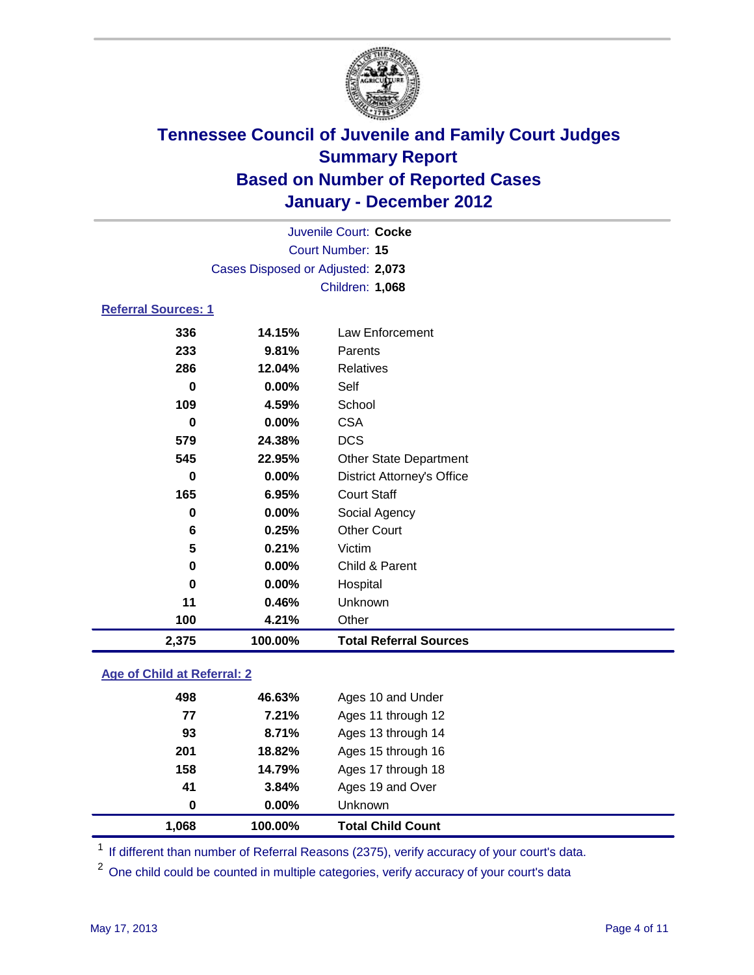

| Juvenile Court: Cocke      |                                   |                                   |  |  |
|----------------------------|-----------------------------------|-----------------------------------|--|--|
|                            | <b>Court Number: 15</b>           |                                   |  |  |
|                            | Cases Disposed or Adjusted: 2,073 |                                   |  |  |
|                            |                                   | Children: 1,068                   |  |  |
| <b>Referral Sources: 1</b> |                                   |                                   |  |  |
| 336                        | 14.15%                            | Law Enforcement                   |  |  |
| 233                        | 9.81%                             | Parents                           |  |  |
| 286                        | 12.04%                            | <b>Relatives</b>                  |  |  |
| 0                          | 0.00%                             | Self                              |  |  |
| 109                        | 4.59%                             | School                            |  |  |
| $\bf{0}$                   | $0.00\%$                          | <b>CSA</b>                        |  |  |
| 579                        | 24.38%                            | <b>DCS</b>                        |  |  |
| 545                        | 22.95%                            | <b>Other State Department</b>     |  |  |
| $\bf{0}$                   | $0.00\%$                          | <b>District Attorney's Office</b> |  |  |
| 165                        | 6.95%                             | <b>Court Staff</b>                |  |  |
| 0                          | 0.00%                             | Social Agency                     |  |  |
| 6                          | 0.25%                             | <b>Other Court</b>                |  |  |
| 5                          | 0.21%                             | Victim                            |  |  |
| 0                          | $0.00\%$                          | Child & Parent                    |  |  |
| $\mathbf 0$                | 0.00%                             | Hospital                          |  |  |
| 11                         | 0.46%                             | Unknown                           |  |  |
| 100                        | 4.21%                             | Other                             |  |  |
| 2,375                      | 100.00%                           | <b>Total Referral Sources</b>     |  |  |

### **Age of Child at Referral: 2**

| 1,068    | 100.00% | <b>Total Child Count</b> |
|----------|---------|--------------------------|
| $\bf{0}$ | 0.00%   | <b>Unknown</b>           |
| 41       | 3.84%   | Ages 19 and Over         |
| 158      | 14.79%  | Ages 17 through 18       |
| 201      | 18.82%  | Ages 15 through 16       |
| 93       | 8.71%   | Ages 13 through 14       |
| 77       | 7.21%   | Ages 11 through 12       |
| 498      | 46.63%  | Ages 10 and Under        |
|          |         |                          |

<sup>1</sup> If different than number of Referral Reasons (2375), verify accuracy of your court's data.

<sup>2</sup> One child could be counted in multiple categories, verify accuracy of your court's data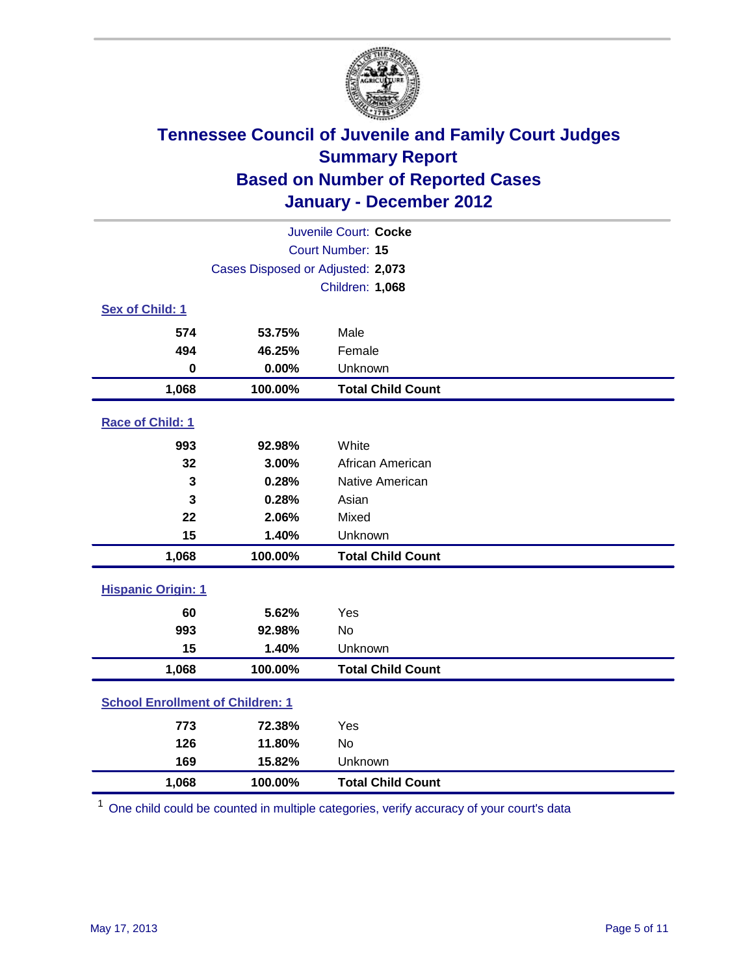

| Juvenile Court: Cocke                   |                                   |                          |  |  |  |
|-----------------------------------------|-----------------------------------|--------------------------|--|--|--|
|                                         | Court Number: 15                  |                          |  |  |  |
|                                         | Cases Disposed or Adjusted: 2,073 |                          |  |  |  |
|                                         |                                   | Children: 1,068          |  |  |  |
| Sex of Child: 1                         |                                   |                          |  |  |  |
| 574                                     | 53.75%                            | Male                     |  |  |  |
| 494                                     | 46.25%                            | Female                   |  |  |  |
| $\mathbf 0$                             | 0.00%                             | Unknown                  |  |  |  |
| 1,068                                   | 100.00%                           | <b>Total Child Count</b> |  |  |  |
| Race of Child: 1                        |                                   |                          |  |  |  |
| 993                                     | 92.98%                            | White                    |  |  |  |
| 32                                      | 3.00%                             | African American         |  |  |  |
| 3                                       | 0.28%                             | Native American          |  |  |  |
| 3                                       | 0.28%                             | Asian                    |  |  |  |
| 22                                      | 2.06%                             | Mixed                    |  |  |  |
| 15                                      | 1.40%                             | Unknown                  |  |  |  |
| 1,068                                   | 100.00%                           | <b>Total Child Count</b> |  |  |  |
| <b>Hispanic Origin: 1</b>               |                                   |                          |  |  |  |
| 60                                      | 5.62%                             | Yes                      |  |  |  |
| 993                                     | 92.98%                            | <b>No</b>                |  |  |  |
| 15                                      | 1.40%                             | Unknown                  |  |  |  |
| 1,068                                   | 100.00%                           | <b>Total Child Count</b> |  |  |  |
| <b>School Enrollment of Children: 1</b> |                                   |                          |  |  |  |
| 773                                     | 72.38%                            | Yes                      |  |  |  |
| 126                                     | 11.80%                            | No                       |  |  |  |
| 169                                     | 15.82%                            | Unknown                  |  |  |  |
| 1,068                                   | <b>Total Child Count</b>          |                          |  |  |  |

<sup>1</sup> One child could be counted in multiple categories, verify accuracy of your court's data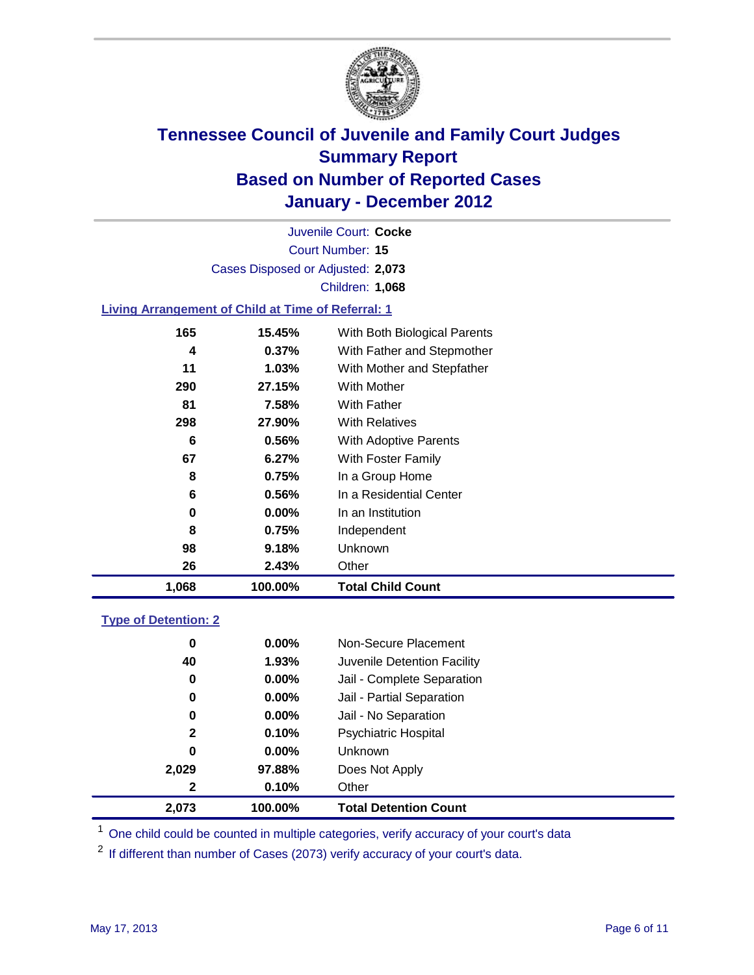

Court Number: **15** Juvenile Court: **Cocke** Cases Disposed or Adjusted: **2,073** Children: **1,068**

### **Living Arrangement of Child at Time of Referral: 1**

| 1,068 | 100.00%  | <b>Total Child Count</b>     |
|-------|----------|------------------------------|
| 26    | 2.43%    | Other                        |
| 98    | 9.18%    | <b>Unknown</b>               |
| 8     | 0.75%    | Independent                  |
| 0     | $0.00\%$ | In an Institution            |
| 6     | 0.56%    | In a Residential Center      |
| 8     | 0.75%    | In a Group Home              |
| 67    | 6.27%    | With Foster Family           |
| 6     | 0.56%    | With Adoptive Parents        |
| 298   | 27.90%   | <b>With Relatives</b>        |
| 81    | 7.58%    | With Father                  |
| 290   | 27.15%   | <b>With Mother</b>           |
| 11    | $1.03\%$ | With Mother and Stepfather   |
| 4     | 0.37%    | With Father and Stepmother   |
| 165   | 15.45%   | With Both Biological Parents |
|       |          |                              |

#### **Type of Detention: 2**

| 2,073        | 100.00%  | <b>Total Detention Count</b> |
|--------------|----------|------------------------------|
| $\mathbf{2}$ | 0.10%    | Other                        |
| 2,029        | 97.88%   | Does Not Apply               |
| 0            | $0.00\%$ | Unknown                      |
| $\mathbf{2}$ | 0.10%    | <b>Psychiatric Hospital</b>  |
| 0            | 0.00%    | Jail - No Separation         |
| 0            | $0.00\%$ | Jail - Partial Separation    |
| 0            | 0.00%    | Jail - Complete Separation   |
| 40           | 1.93%    | Juvenile Detention Facility  |
| 0            | $0.00\%$ | Non-Secure Placement         |
|              |          |                              |

<sup>1</sup> One child could be counted in multiple categories, verify accuracy of your court's data

<sup>2</sup> If different than number of Cases (2073) verify accuracy of your court's data.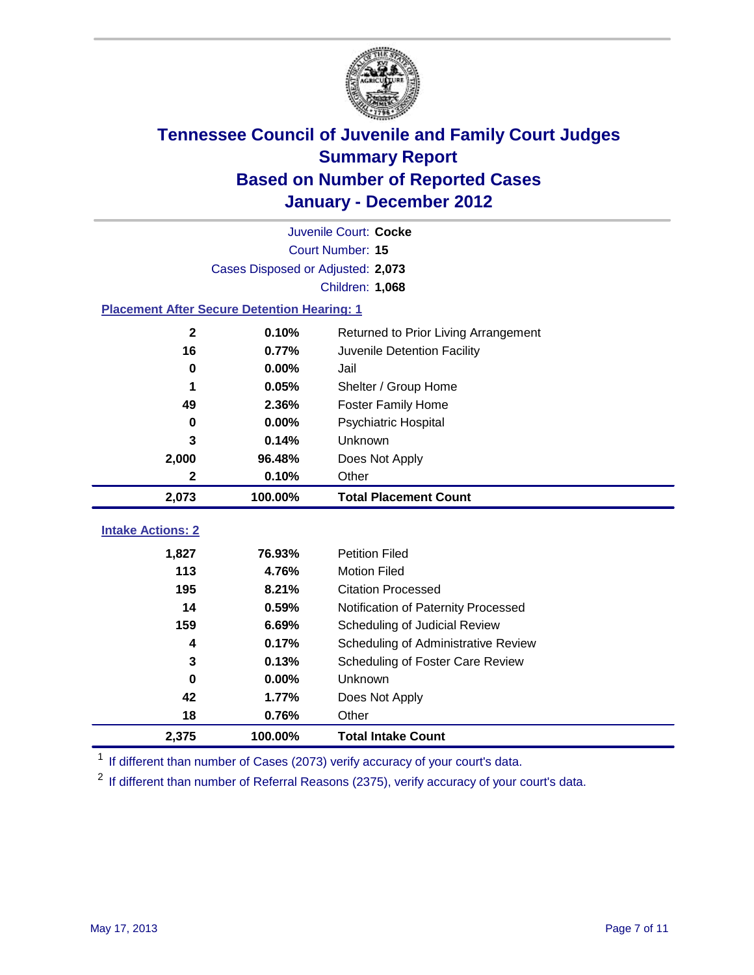

|                                                    | Juvenile Court: Cocke             |                                      |  |  |  |
|----------------------------------------------------|-----------------------------------|--------------------------------------|--|--|--|
|                                                    | Court Number: 15                  |                                      |  |  |  |
|                                                    | Cases Disposed or Adjusted: 2,073 |                                      |  |  |  |
|                                                    |                                   | Children: 1,068                      |  |  |  |
| <b>Placement After Secure Detention Hearing: 1</b> |                                   |                                      |  |  |  |
| $\mathbf{2}$                                       | 0.10%                             | Returned to Prior Living Arrangement |  |  |  |
| 16                                                 | 0.77%                             | Juvenile Detention Facility          |  |  |  |
| $\bf{0}$                                           | 0.00%                             | Jail                                 |  |  |  |
| 1                                                  | 0.05%                             | Shelter / Group Home                 |  |  |  |
| 49                                                 | 2.36%                             | Foster Family Home                   |  |  |  |
| 0                                                  | 0.00%                             | Psychiatric Hospital                 |  |  |  |
| 3                                                  | 0.14%                             | Unknown                              |  |  |  |
| 2,000                                              | 96.48%                            | Does Not Apply                       |  |  |  |
| 2                                                  | 0.10%                             | Other                                |  |  |  |
| 2,073                                              | 100.00%                           | <b>Total Placement Count</b>         |  |  |  |
|                                                    |                                   |                                      |  |  |  |
| <b>Intake Actions: 2</b>                           |                                   |                                      |  |  |  |
| 1,827                                              | 76.93%                            | <b>Petition Filed</b>                |  |  |  |
| 113                                                | 4.76%                             | <b>Motion Filed</b>                  |  |  |  |
| 195                                                | 8.21%                             | <b>Citation Processed</b>            |  |  |  |
| 14                                                 | 0.59%                             | Notification of Paternity Processed  |  |  |  |
| 159                                                | 6.69%                             | Scheduling of Judicial Review        |  |  |  |
| 4                                                  | 0.17%                             | Scheduling of Administrative Review  |  |  |  |
| 3                                                  | 0.13%                             | Scheduling of Foster Care Review     |  |  |  |
| $\Omega$                                           | 0.00%                             | <b>Unknown</b>                       |  |  |  |
| 42                                                 | 1.77%                             | Does Not Apply                       |  |  |  |
| 18                                                 | 0.76%                             | Other                                |  |  |  |
| 2,375                                              | 100.00%                           | <b>Total Intake Count</b>            |  |  |  |

<sup>1</sup> If different than number of Cases (2073) verify accuracy of your court's data.

<sup>2</sup> If different than number of Referral Reasons (2375), verify accuracy of your court's data.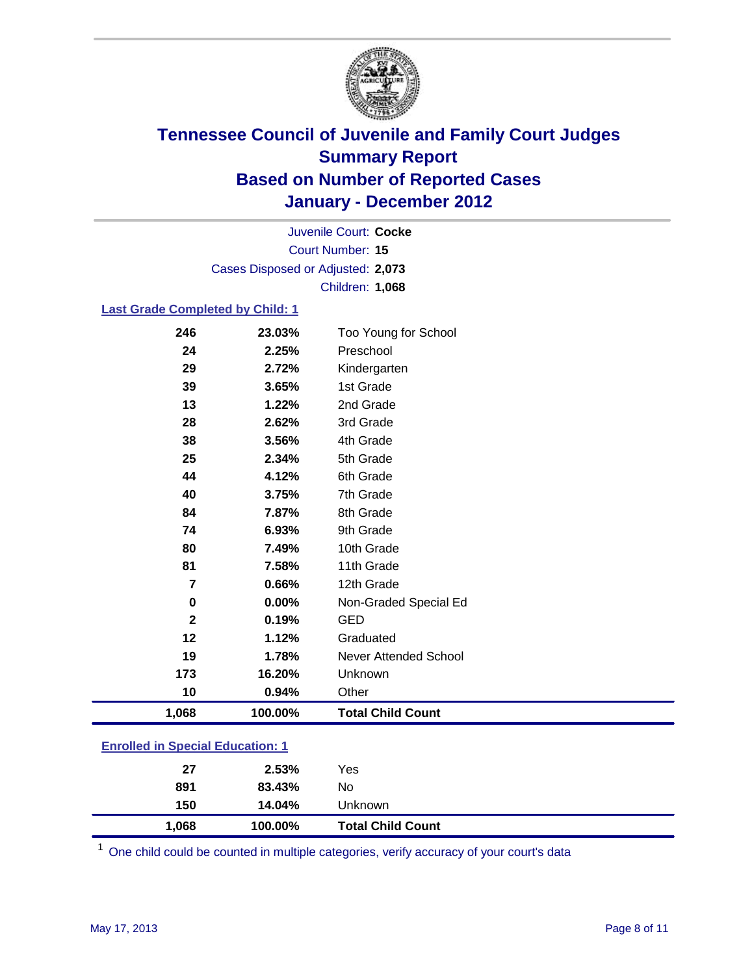

Court Number: **15** Juvenile Court: **Cocke** Cases Disposed or Adjusted: **2,073** Children: **1,068**

### **Last Grade Completed by Child: 1**

| 1,068        | 100.00% | <b>Total Child Count</b> |
|--------------|---------|--------------------------|
| 10           | 0.94%   | Other                    |
| 173          | 16.20%  | Unknown                  |
| 19           | 1.78%   | Never Attended School    |
| 12           | 1.12%   | Graduated                |
| $\mathbf{2}$ | 0.19%   | <b>GED</b>               |
| $\mathbf 0$  | 0.00%   | Non-Graded Special Ed    |
| 7            | 0.66%   | 12th Grade               |
| 81           | 7.58%   | 11th Grade               |
| 80           | 7.49%   | 10th Grade               |
| 74           | 6.93%   | 9th Grade                |
| 84           | 7.87%   | 8th Grade                |
| 40           | 3.75%   | 7th Grade                |
| 44           | 4.12%   | 6th Grade                |
| 25           | 2.34%   | 5th Grade                |
| 38           | 3.56%   | 4th Grade                |
| 28           | 2.62%   | 3rd Grade                |
| 13           | 1.22%   | 2nd Grade                |
| 39           | 3.65%   | 1st Grade                |
| 29           | 2.72%   | Kindergarten             |
| 24           | 2.25%   | Preschool                |
| 246          | 23.03%  | Too Young for School     |

### **Enrolled in Special Education: 1**

| 1,068 | 100.00% | <b>Total Child Count</b> |
|-------|---------|--------------------------|
| 150   | 14.04%  | Unknown                  |
| 891   | 83.43%  | No                       |
| 27    | 2.53%   | Yes                      |
|       |         |                          |

One child could be counted in multiple categories, verify accuracy of your court's data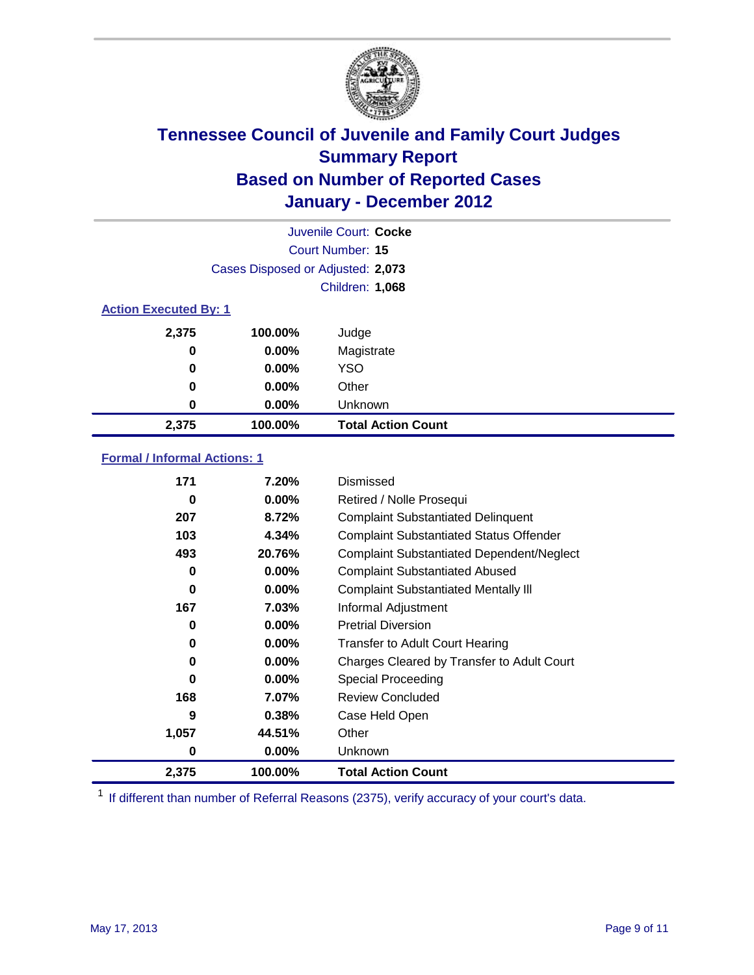

| Juvenile Court: Cocke        |                                   |                           |  |  |  |
|------------------------------|-----------------------------------|---------------------------|--|--|--|
|                              | Court Number: 15                  |                           |  |  |  |
|                              | Cases Disposed or Adjusted: 2,073 |                           |  |  |  |
|                              | Children: 1,068                   |                           |  |  |  |
| <b>Action Executed By: 1</b> |                                   |                           |  |  |  |
| 2,375                        | 100.00%                           | Judge                     |  |  |  |
| 0                            | $0.00\%$                          | Magistrate                |  |  |  |
| $\bf{0}$                     | $0.00\%$                          | <b>YSO</b>                |  |  |  |
| 0                            | $0.00\%$                          | Other                     |  |  |  |
| 0                            | $0.00\%$                          | Unknown                   |  |  |  |
| 2,375                        | 100.00%                           | <b>Total Action Count</b> |  |  |  |

### **Formal / Informal Actions: 1**

| 171   | 7.20%    | <b>Dismissed</b>                                 |
|-------|----------|--------------------------------------------------|
| 0     | $0.00\%$ | Retired / Nolle Prosequi                         |
| 207   | 8.72%    | <b>Complaint Substantiated Delinquent</b>        |
| 103   | 4.34%    | <b>Complaint Substantiated Status Offender</b>   |
| 493   | 20.76%   | <b>Complaint Substantiated Dependent/Neglect</b> |
| 0     | $0.00\%$ | <b>Complaint Substantiated Abused</b>            |
| 0     | $0.00\%$ | <b>Complaint Substantiated Mentally III</b>      |
| 167   | 7.03%    | Informal Adjustment                              |
| 0     | $0.00\%$ | <b>Pretrial Diversion</b>                        |
| 0     | $0.00\%$ | <b>Transfer to Adult Court Hearing</b>           |
| 0     | $0.00\%$ | Charges Cleared by Transfer to Adult Court       |
| 0     | $0.00\%$ | <b>Special Proceeding</b>                        |
| 168   | 7.07%    | <b>Review Concluded</b>                          |
| 9     | 0.38%    | Case Held Open                                   |
| 1,057 | 44.51%   | Other                                            |
| 0     | 0.00%    | Unknown                                          |
| 2,375 | 100.00%  | <b>Total Action Count</b>                        |

<sup>1</sup> If different than number of Referral Reasons (2375), verify accuracy of your court's data.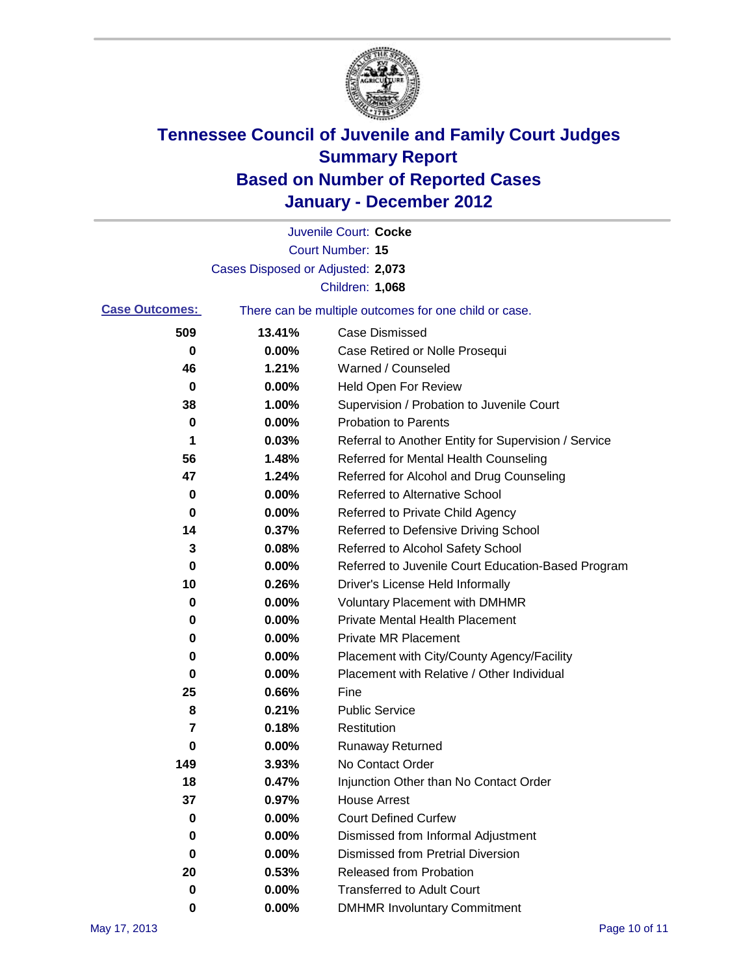

|                       |                                   | Juvenile Court: Cocke                                 |
|-----------------------|-----------------------------------|-------------------------------------------------------|
|                       |                                   | <b>Court Number: 15</b>                               |
|                       | Cases Disposed or Adjusted: 2,073 |                                                       |
|                       |                                   | Children: 1,068                                       |
| <b>Case Outcomes:</b> |                                   | There can be multiple outcomes for one child or case. |
| 509                   | 13.41%                            | <b>Case Dismissed</b>                                 |
| 0                     | 0.00%                             | Case Retired or Nolle Prosequi                        |
| 46                    | 1.21%                             | Warned / Counseled                                    |
| 0                     | 0.00%                             | <b>Held Open For Review</b>                           |
| 38                    | 1.00%                             | Supervision / Probation to Juvenile Court             |
| 0                     | 0.00%                             | <b>Probation to Parents</b>                           |
| 1                     | 0.03%                             | Referral to Another Entity for Supervision / Service  |
| 56                    | 1.48%                             | Referred for Mental Health Counseling                 |
| 47                    | 1.24%                             | Referred for Alcohol and Drug Counseling              |
| 0                     | 0.00%                             | <b>Referred to Alternative School</b>                 |
| 0                     | 0.00%                             | Referred to Private Child Agency                      |
| 14                    | 0.37%                             | Referred to Defensive Driving School                  |
| 3                     | 0.08%                             | Referred to Alcohol Safety School                     |
| 0                     | 0.00%                             | Referred to Juvenile Court Education-Based Program    |
| 10                    | 0.26%                             | Driver's License Held Informally                      |
| 0                     | 0.00%                             | <b>Voluntary Placement with DMHMR</b>                 |
| 0                     | 0.00%                             | <b>Private Mental Health Placement</b>                |
| 0                     | 0.00%                             | <b>Private MR Placement</b>                           |
| 0                     | 0.00%                             | Placement with City/County Agency/Facility            |
| 0                     | 0.00%                             | Placement with Relative / Other Individual            |
| 25                    | 0.66%                             | Fine                                                  |
| 8                     | 0.21%                             | <b>Public Service</b>                                 |
| 7                     | 0.18%                             | Restitution                                           |
| 0                     | 0.00%                             | <b>Runaway Returned</b>                               |
| 149                   | 3.93%                             | No Contact Order                                      |
| 18                    | 0.47%                             | Injunction Other than No Contact Order                |
| 37                    | 0.97%                             | <b>House Arrest</b>                                   |
| 0                     | 0.00%                             | <b>Court Defined Curfew</b>                           |
| 0                     | 0.00%                             | Dismissed from Informal Adjustment                    |
| 0                     | 0.00%                             | <b>Dismissed from Pretrial Diversion</b>              |
| 20                    | 0.53%                             | Released from Probation                               |
| 0                     | 0.00%                             | <b>Transferred to Adult Court</b>                     |
| 0                     | $0.00\%$                          | <b>DMHMR Involuntary Commitment</b>                   |